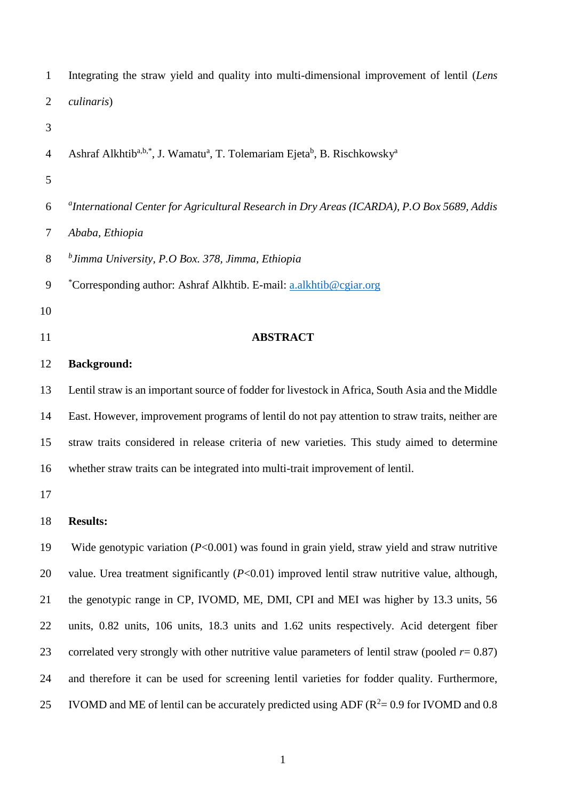| $\mathbf{1}$   | Integrating the straw yield and quality into multi-dimensional improvement of lentil (Lens                                |
|----------------|---------------------------------------------------------------------------------------------------------------------------|
| $\overline{2}$ | culinaris)                                                                                                                |
| 3              |                                                                                                                           |
| $\overline{4}$ | Ashraf Alkhtib <sup>a,b,*</sup> , J. Wamatu <sup>a</sup> , T. Tolemariam Ejeta <sup>b</sup> , B. Rischkowsky <sup>a</sup> |
| 5              |                                                                                                                           |
| 6              | <sup>a</sup> International Center for Agricultural Research in Dry Areas (ICARDA), P.O Box 5689, Addis                    |
| $\overline{7}$ | Ababa, Ethiopia                                                                                                           |
| $8\,$          | $^{b}$ Jimma University, P.O Box. 378, Jimma, Ethiopia                                                                    |
| $\mathbf{9}$   | *Corresponding author: Ashraf Alkhtib. E-mail: a.alkhtib@cgiar.org                                                        |
| 10             |                                                                                                                           |
| 11             | <b>ABSTRACT</b>                                                                                                           |
| 12             | <b>Background:</b>                                                                                                        |
| 13             | Lentil straw is an important source of fodder for livestock in Africa, South Asia and the Middle                          |
| 14             | East. However, improvement programs of lentil do not pay attention to straw traits, neither are                           |
| 15             | straw traits considered in release criteria of new varieties. This study aimed to determine                               |
| 16             | whether straw traits can be integrated into multi-trait improvement of lentil.                                            |
| 17             |                                                                                                                           |
| 18             | <b>Results:</b>                                                                                                           |
| 19             | Wide genotypic variation $(P<0.001)$ was found in grain yield, straw yield and straw nutritive                            |
| 20             | value. Urea treatment significantly $(P<0.01)$ improved lentil straw nutritive value, although,                           |
| 21             | the genotypic range in CP, IVOMD, ME, DMI, CPI and MEI was higher by 13.3 units, 56                                       |
| 22             | units, 0.82 units, 106 units, 18.3 units and 1.62 units respectively. Acid detergent fiber                                |
| 23             | correlated very strongly with other nutritive value parameters of lentil straw (pooled $r = 0.87$ )                       |
| 24             | and therefore it can be used for screening lentil varieties for fodder quality. Furthermore,                              |
| 25             | IVOMD and ME of lentil can be accurately predicted using ADF ( $R^2$ = 0.9 for IVOMD and 0.8                              |
|                |                                                                                                                           |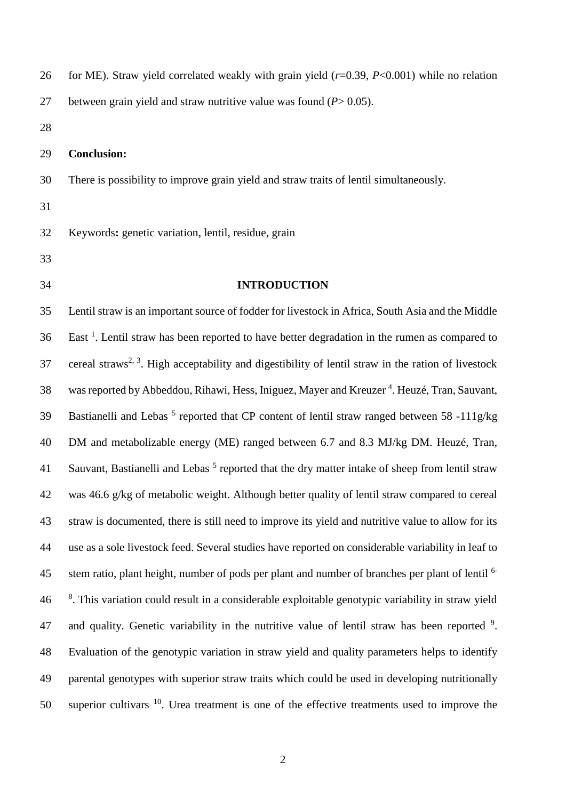| 26 | for ME). Straw yield correlated weakly with grain yield $(r=0.39, P<0.001)$ while no relation    |
|----|--------------------------------------------------------------------------------------------------|
| 27 | between grain yield and straw nutritive value was found $(P > 0.05)$ .                           |
| 28 |                                                                                                  |
| 29 | <b>Conclusion:</b>                                                                               |
| 30 | There is possibility to improve grain yield and straw traits of lentil simultaneously.           |
| 31 |                                                                                                  |
| 32 | Keywords: genetic variation, lentil, residue, grain                                              |
| 33 |                                                                                                  |
| 34 | <b>INTRODUCTION</b>                                                                              |
| 35 | Lentil straw is an important source of fodder for livestock in Africa, South Asia and the Middle |

 Lentil straw is an important source of fodder for livestock in Africa, South Asia and the Middle East<sup>1</sup>. Lentil straw has been reported to have better degradation in the rumen as compared to 37 cereal straws<sup>2, 3</sup>. High acceptability and digestibility of lentil straw in the ration of livestock 38 was reported by Abbeddou, Rihawi, Hess, Iniguez, Mayer and Kreuzer<sup>4</sup>. Heuzé, Tran, Sauvant, 39 Bastianelli and Lebas<sup>5</sup> reported that CP content of lentil straw ranged between 58 -111g/kg DM and metabolizable energy (ME) ranged between 6.7 and 8.3 MJ/kg DM. Heuzé, Tran, 41 Sauvant, Bastianelli and Lebas<sup>5</sup> reported that the dry matter intake of sheep from lentil straw was 46.6 g/kg of metabolic weight. Although better quality of lentil straw compared to cereal straw is documented, there is still need to improve its yield and nutritive value to allow for its use as a sole livestock feed. Several studies have reported on considerable variability in leaf to stem ratio, plant height, number of pods per plant and number of branches per plant of lentil <sup>6-</sup> <sup>8</sup>. This variation could result in a considerable exploitable genotypic variability in straw yield 47 and quality. Genetic variability in the nutritive value of lentil straw has been reported . Evaluation of the genotypic variation in straw yield and quality parameters helps to identify parental genotypes with superior straw traits which could be used in developing nutritionally 50 superior cultivars . Urea treatment is one of the effective treatments used to improve the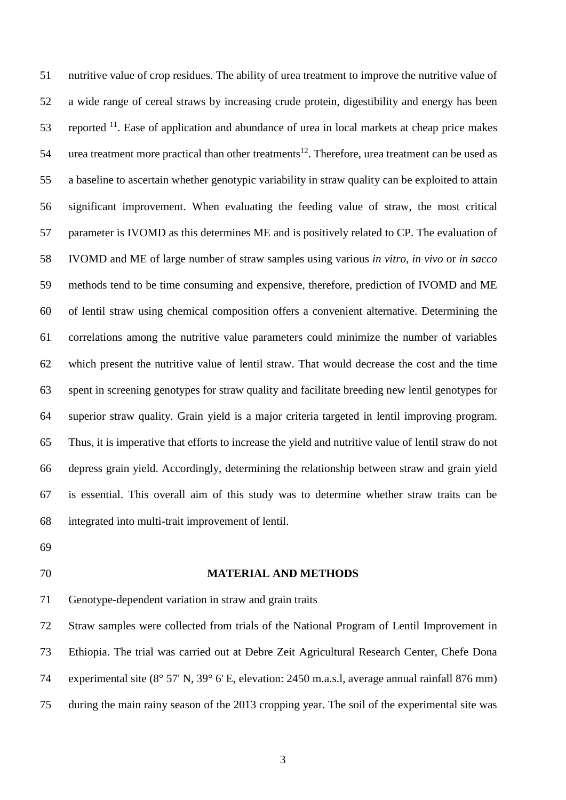nutritive value of crop residues. The ability of urea treatment to improve the nutritive value of a wide range of cereal straws by increasing crude protein, digestibility and energy has been 53 reported . Ease of application and abundance of urea in local markets at cheap price makes 54 urea treatment more practical than other treatments<sup>12</sup>. Therefore, urea treatment can be used as a baseline to ascertain whether genotypic variability in straw quality can be exploited to attain significant improvement. When evaluating the feeding value of straw, the most critical parameter is IVOMD as this determines ME and is positively related to CP. The evaluation of IVOMD and ME of large number of straw samples using various *in vitro*, *in vivo* or *in sacco* methods tend to be time consuming and expensive, therefore, prediction of IVOMD and ME of lentil straw using chemical composition offers a convenient alternative. Determining the correlations among the nutritive value parameters could minimize the number of variables which present the nutritive value of lentil straw. That would decrease the cost and the time spent in screening genotypes for straw quality and facilitate breeding new lentil genotypes for superior straw quality. Grain yield is a major criteria targeted in lentil improving program. Thus, it is imperative that efforts to increase the yield and nutritive value of lentil straw do not depress grain yield. Accordingly, determining the relationship between straw and grain yield is essential. This overall aim of this study was to determine whether straw traits can be integrated into multi-trait improvement of lentil.

- 
- 

#### **MATERIAL AND METHODS**

Genotype-dependent variation in straw and grain traits

 Straw samples were collected from trials of the National Program of Lentil Improvement in Ethiopia. The trial was carried out at Debre Zeit Agricultural Research Center, Chefe Dona experimental site (8° 57' N, 39° 6' E, elevation: 2450 m.a.s.l, average annual rainfall 876 mm) during the main rainy season of the 2013 cropping year. The soil of the experimental site was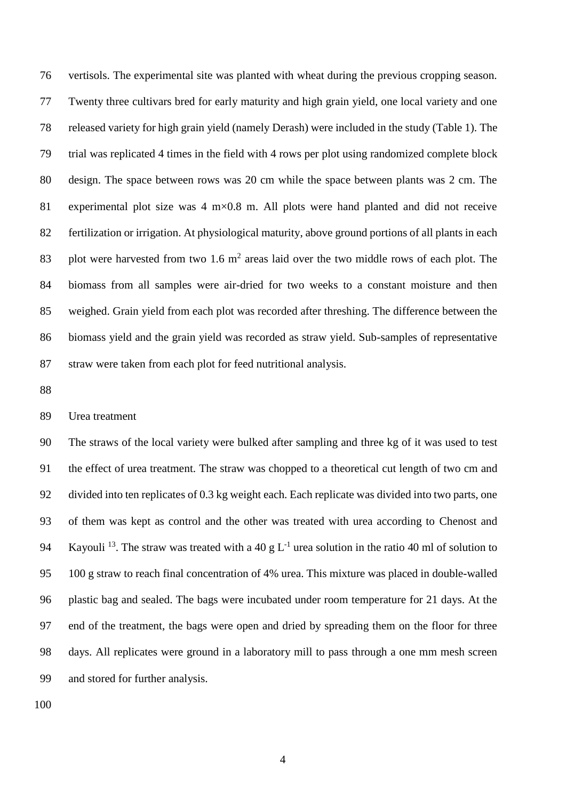vertisols. The experimental site was planted with wheat during the previous cropping season. Twenty three cultivars bred for early maturity and high grain yield, one local variety and one released variety for high grain yield (namely Derash) were included in the study (Table 1). The trial was replicated 4 times in the field with 4 rows per plot using randomized complete block design. The space between rows was 20 cm while the space between plants was 2 cm. The 81 experimental plot size was 4 m×0.8 m. All plots were hand planted and did not receive fertilization or irrigation. At physiological maturity, above ground portions of all plants in each 83 plot were harvested from two 1.6  $m<sup>2</sup>$  areas laid over the two middle rows of each plot. The biomass from all samples were air-dried for two weeks to a constant moisture and then weighed. Grain yield from each plot was recorded after threshing. The difference between the biomass yield and the grain yield was recorded as straw yield. Sub-samples of representative straw were taken from each plot for feed nutritional analysis.

### Urea treatment

 The straws of the local variety were bulked after sampling and three kg of it was used to test the effect of urea treatment. The straw was chopped to a theoretical cut length of two cm and divided into ten replicates of 0.3 kg weight each. Each replicate was divided into two parts, one of them was kept as control and the other was treated with urea according to Chenost and 94 Kayouli<sup>13</sup>. The straw was treated with a 40 g  $L^{-1}$  urea solution in the ratio 40 ml of solution to 100 g straw to reach final concentration of 4% urea. This mixture was placed in double-walled plastic bag and sealed. The bags were incubated under room temperature for 21 days. At the end of the treatment, the bags were open and dried by spreading them on the floor for three days. All replicates were ground in a laboratory mill to pass through a one mm mesh screen and stored for further analysis.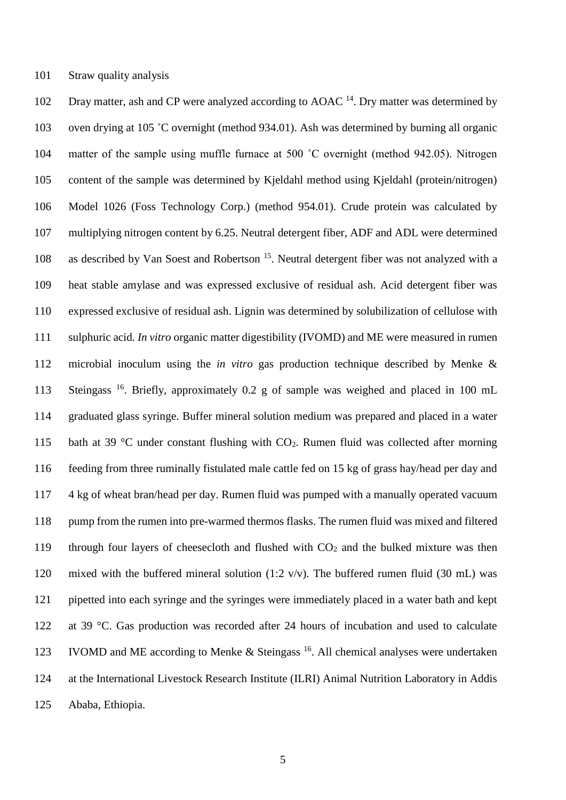Straw quality analysis

102 Dray matter, ash and CP were analyzed according to AOAC  $^{14}$ . Dry matter was determined by oven drying at 105 ˚C overnight (method 934.01). Ash was determined by burning all organic matter of the sample using muffle furnace at 500 ˚C overnight (method 942.05). Nitrogen content of the sample was determined by Kjeldahl method using Kjeldahl (protein/nitrogen) Model 1026 (Foss Technology Corp.) (method 954.01). Crude protein was calculated by multiplying nitrogen content by 6.25. Neutral detergent fiber, ADF and ADL were determined 108 as described by Van Soest and Robertson<sup>15</sup>. Neutral detergent fiber was not analyzed with a heat stable amylase and was expressed exclusive of residual ash. Acid detergent fiber was expressed exclusive of residual ash. Lignin was determined by solubilization of cellulose with sulphuric acid. *In vitro* organic matter digestibility (IVOMD) and ME were measured in rumen microbial inoculum using the *in vitro* gas production technique described by Menke & 113 Steingass <sup>16</sup>. Briefly, approximately 0.2 g of sample was weighed and placed in 100 mL graduated glass syringe. Buffer mineral solution medium was prepared and placed in a water 115 bath at 39  $\degree$ C under constant flushing with CO<sub>2</sub>. Rumen fluid was collected after morning feeding from three ruminally fistulated male cattle fed on 15 kg of grass hay/head per day and 4 kg of wheat bran/head per day. Rumen fluid was pumped with a manually operated vacuum pump from the rumen into pre-warmed thermos flasks. The rumen fluid was mixed and filtered 119 through four layers of cheesecloth and flushed with  $CO<sub>2</sub>$  and the bulked mixture was then mixed with the buffered mineral solution (1:2 v/v). The buffered rumen fluid (30 mL) was pipetted into each syringe and the syringes were immediately placed in a water bath and kept at 39 °C. Gas production was recorded after 24 hours of incubation and used to calculate 123 IVOMD and ME according to Menke & Steingass  $^{16}$ . All chemical analyses were undertaken at the International Livestock Research Institute (ILRI) Animal Nutrition Laboratory in Addis Ababa, Ethiopia.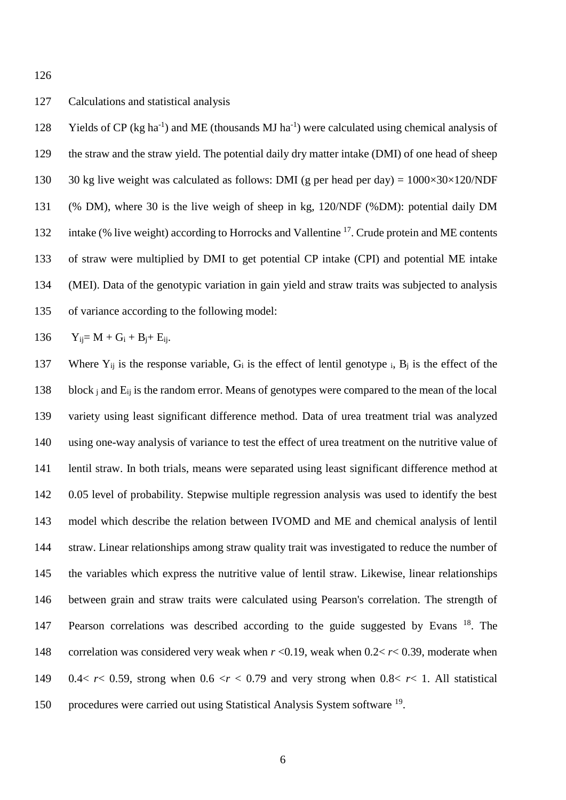## Calculations and statistical analysis

128 Yields of CP (kg ha<sup>-1</sup>) and ME (thousands MJ ha<sup>-1</sup>) were calculated using chemical analysis of the straw and the straw yield. The potential daily dry matter intake (DMI) of one head of sheep 130 30 kg live weight was calculated as follows: DMI (g per head per day) =  $1000\times30\times120/\text{NDF}$  (% DM), where 30 is the live weigh of sheep in kg, 120/NDF (%DM): potential daily DM 132 intake (% live weight) according to Horrocks and Vallentine <sup>17</sup>. Crude protein and ME contents of straw were multiplied by DMI to get potential CP intake (CPI) and potential ME intake (MEI). Data of the genotypic variation in gain yield and straw traits was subjected to analysis of variance according to the following model:

$$
136 \qquad Y_{ij} = M + G_i + B_j + E_{ij}.
$$

137 Where  $Y_{ij}$  is the response variable,  $G_i$  is the effect of lentil genotype i,  $B_i$  is the effect of the 138 block  $\frac{1}{1}$  and  $\frac{1}{1}$  is the random error. Means of genotypes were compared to the mean of the local variety using least significant difference method. Data of urea treatment trial was analyzed using one-way analysis of variance to test the effect of urea treatment on the nutritive value of lentil straw. In both trials, means were separated using least significant difference method at 0.05 level of probability. Stepwise multiple regression analysis was used to identify the best model which describe the relation between IVOMD and ME and chemical analysis of lentil straw. Linear relationships among straw quality trait was investigated to reduce the number of the variables which express the nutritive value of lentil straw. Likewise, linear relationships between grain and straw traits were calculated using Pearson's correlation. The strength of 147 Pearson correlations was described according to the guide suggested by Evans<sup>18</sup>. The correlation was considered very weak when *r* <0.19, weak when 0.2< *r*< 0.39, moderate when 0.4< *r*< 0.59, strong when 0.6 <*r* < 0.79 and very strong when 0.8< *r*< 1. All statistical 150 procedures were carried out using Statistical Analysis System software <sup>19</sup>.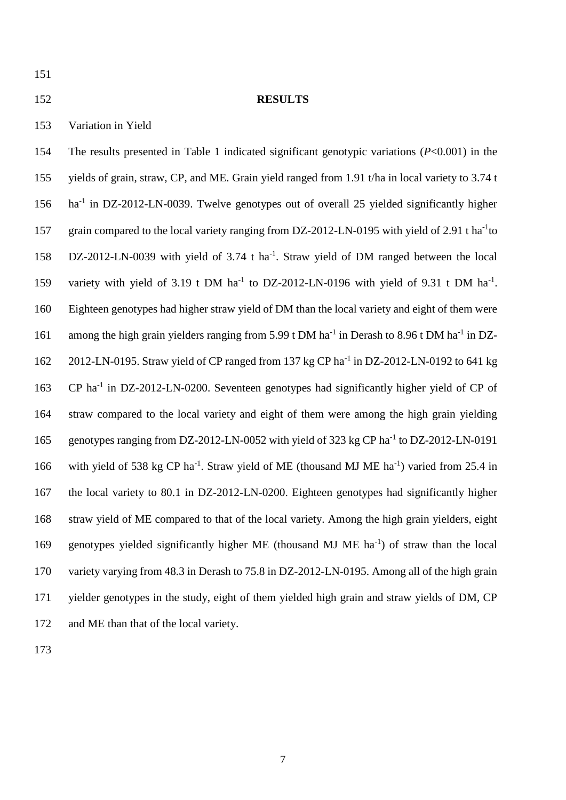### 152 **RESULTS**

153 Variation in Yield

154 The results presented in Table 1 indicated significant genotypic variations (*P*<0.001) in the 155 yields of grain, straw, CP, and ME. Grain yield ranged from 1.91 t/ha in local variety to 3.74 t 156 ha<sup>-1</sup> in DZ-2012-LN-0039. Twelve genotypes out of overall 25 yielded significantly higher 157 grain compared to the local variety ranging from DZ-2012-LN-0195 with yield of 2.91 t ha<sup>-1</sup>to 158 DZ-2012-LN-0039 with yield of 3.74 t ha<sup>-1</sup>. Straw yield of DM ranged between the local 159 variety with yield of 3.19 t DM ha<sup>-1</sup> to DZ-2012-LN-0196 with yield of 9.31 t DM ha<sup>-1</sup>. 160 Eighteen genotypes had higher straw yield of DM than the local variety and eight of them were 161 among the high grain yielders ranging from 5.99 t DM ha<sup>-1</sup> in Derash to 8.96 t DM ha<sup>-1</sup> in DZ-162 2012-LN-0195. Straw yield of CP ranged from 137 kg CP ha<sup>-1</sup> in DZ-2012-LN-0192 to 641 kg 163 CP ha<sup>-1</sup> in DZ-2012-LN-0200. Seventeen genotypes had significantly higher yield of CP of 164 straw compared to the local variety and eight of them were among the high grain yielding 165 genotypes ranging from DZ-2012-LN-0052 with yield of 323 kg CP ha<sup>-1</sup> to DZ-2012-LN-0191 166 with yield of 538 kg CP ha<sup>-1</sup>. Straw yield of ME (thousand MJ ME ha<sup>-1</sup>) varied from 25.4 in 167 the local variety to 80.1 in DZ-2012-LN-0200. Eighteen genotypes had significantly higher 168 straw yield of ME compared to that of the local variety. Among the high grain yielders, eight 169 genotypes yielded significantly higher ME (thousand MJ ME ha<sup>-1</sup>) of straw than the local 170 variety varying from 48.3 in Derash to 75.8 in DZ-2012-LN-0195. Among all of the high grain 171 yielder genotypes in the study, eight of them yielded high grain and straw yields of DM, CP 172 and ME than that of the local variety.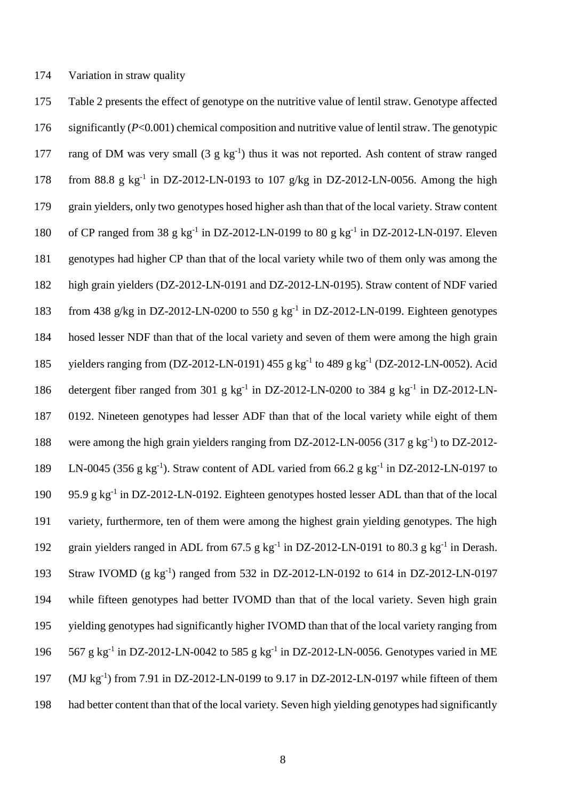174 Variation in straw quality

175 Table 2 presents the effect of genotype on the nutritive value of lentil straw. Genotype affected 176 significantly (*P*<0.001) chemical composition and nutritive value of lentil straw. The genotypic 177 rang of DM was very small  $(3 g kg<sup>-1</sup>)$  thus it was not reported. Ash content of straw ranged 178 from 88.8 g  $kg^{-1}$  in DZ-2012-LN-0193 to 107 g/kg in DZ-2012-LN-0056. Among the high 179 grain yielders, only two genotypes hosed higher ash than that of the local variety. Straw content 180 of CP ranged from 38 g  $kg^{-1}$  in DZ-2012-LN-0199 to 80 g  $kg^{-1}$  in DZ-2012-LN-0197. Eleven 181 genotypes had higher CP than that of the local variety while two of them only was among the 182 high grain yielders (DZ-2012-LN-0191 and DZ-2012-LN-0195). Straw content of NDF varied 183 from 438 g/kg in DZ-2012-LN-0200 to 550 g kg<sup>-1</sup> in DZ-2012-LN-0199. Eighteen genotypes 184 hosed lesser NDF than that of the local variety and seven of them were among the high grain 185 yielders ranging from (DZ-2012-LN-0191) 455 g kg<sup>-1</sup> to 489 g kg<sup>-1</sup> (DZ-2012-LN-0052). Acid 186 detergent fiber ranged from 301 g kg<sup>-1</sup> in DZ-2012-LN-0200 to 384 g kg<sup>-1</sup> in DZ-2012-LN-187 0192. Nineteen genotypes had lesser ADF than that of the local variety while eight of them 188 were among the high grain yielders ranging from DZ-2012-LN-0056 (317 g kg<sup>-1</sup>) to DZ-2012-189 LN-0045 (356 g kg<sup>-1</sup>). Straw content of ADL varied from 66.2 g kg<sup>-1</sup> in DZ-2012-LN-0197 to 190 95.9 g kg<sup>-1</sup> in DZ-2012-LN-0192. Eighteen genotypes hosted lesser ADL than that of the local 191 variety, furthermore, ten of them were among the highest grain yielding genotypes. The high 192 grain yielders ranged in ADL from 67.5 g  $kg^{-1}$  in DZ-2012-LN-0191 to 80.3 g  $kg^{-1}$  in Derash. 193 Straw IVOMD (g kg<sup>-1</sup>) ranged from 532 in DZ-2012-LN-0192 to 614 in DZ-2012-LN-0197 194 while fifteen genotypes had better IVOMD than that of the local variety. Seven high grain 195 yielding genotypes had significantly higher IVOMD than that of the local variety ranging from 196 567 g kg<sup>-1</sup> in DZ-2012-LN-0042 to 585 g kg<sup>-1</sup> in DZ-2012-LN-0056. Genotypes varied in ME 197 (MJ kg<sup>-1</sup>) from 7.91 in DZ-2012-LN-0199 to 9.17 in DZ-2012-LN-0197 while fifteen of them 198 had better content than that of the local variety. Seven high yielding genotypes had significantly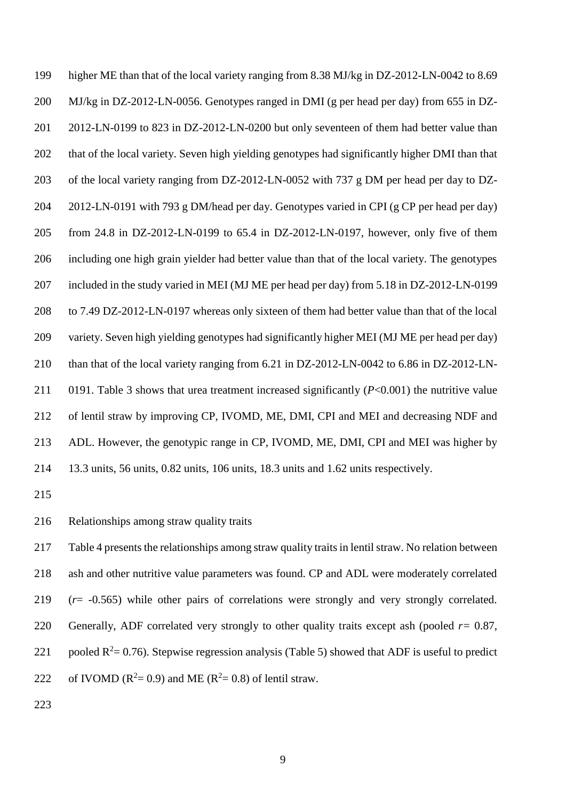higher ME than that of the local variety ranging from 8.38 MJ/kg in DZ-2012-LN-0042 to 8.69 MJ/kg in DZ-2012-LN-0056. Genotypes ranged in DMI (g per head per day) from 655 in DZ- 2012-LN-0199 to 823 in DZ-2012-LN-0200 but only seventeen of them had better value than that of the local variety. Seven high yielding genotypes had significantly higher DMI than that of the local variety ranging from DZ-2012-LN-0052 with 737 g DM per head per day to DZ- 2012-LN-0191 with 793 g DM/head per day. Genotypes varied in CPI (g CP per head per day) from 24.8 in DZ-2012-LN-0199 to 65.4 in DZ-2012-LN-0197, however, only five of them including one high grain yielder had better value than that of the local variety. The genotypes included in the study varied in MEI (MJ ME per head per day) from 5.18 in DZ-2012-LN-0199 to 7.49 DZ-2012-LN-0197 whereas only sixteen of them had better value than that of the local variety. Seven high yielding genotypes had significantly higher MEI (MJ ME per head per day) than that of the local variety ranging from 6.21 in DZ-2012-LN-0042 to 6.86 in DZ-2012-LN- 0191. Table 3 shows that urea treatment increased significantly (*P*<0.001) the nutritive value of lentil straw by improving CP, IVOMD, ME, DMI, CPI and MEI and decreasing NDF and ADL. However, the genotypic range in CP, IVOMD, ME, DMI, CPI and MEI was higher by 13.3 units, 56 units, 0.82 units, 106 units, 18.3 units and 1.62 units respectively.

Relationships among straw quality traits

 Table 4 presents the relationships among straw quality traits in lentil straw. No relation between ash and other nutritive value parameters was found. CP and ADL were moderately correlated (*r*= -0.565) while other pairs of correlations were strongly and very strongly correlated. 220 Generally, ADF correlated very strongly to other quality traits except ash (pooled  $r=0.87$ , 221 pooled  $R^2 = 0.76$ ). Stepwise regression analysis (Table 5) showed that ADF is useful to predict 222 of IVOMD ( $R^2 = 0.9$ ) and ME ( $R^2 = 0.8$ ) of lentil straw.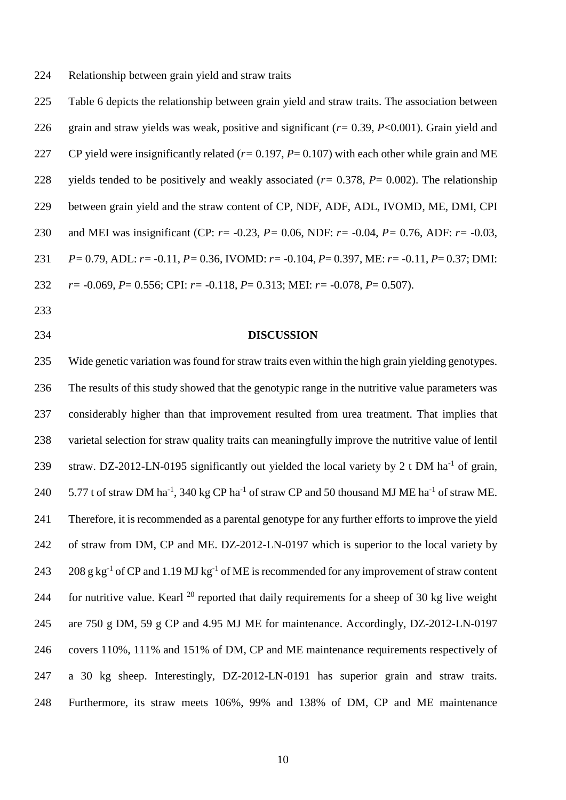Relationship between grain yield and straw traits

 Table 6 depicts the relationship between grain yield and straw traits. The association between grain and straw yields was weak, positive and significant (*r=* 0.39, *P*<0.001). Grain yield and CP yield were insignificantly related (*r=* 0.197, *P*= 0.107) with each other while grain and ME yields tended to be positively and weakly associated (*r=* 0.378, *P*= 0.002). The relationship between grain yield and the straw content of CP, NDF, ADF, ADL, IVOMD, ME, DMI, CPI and MEI was insignificant (CP: *r=* -0.23, *P=* 0.06, NDF: *r=* -0.04, *P=* 0.76, ADF: *r=* -0.03, *P=* 0.79, ADL: *r=* -0.11, *P=* 0.36, IVOMD: *r=* -0.104, *P*= 0.397, ME: *r=* -0.11, *P*= 0.37; DMI: *r=* -0.069, *P*= 0.556; CPI: *r=* -0.118, *P*= 0.313; MEI: *r=* -0.078, *P*= 0.507).

- 
- 

#### **DISCUSSION**

 Wide genetic variation was found for straw traits even within the high grain yielding genotypes. The results of this study showed that the genotypic range in the nutritive value parameters was considerably higher than that improvement resulted from urea treatment. That implies that varietal selection for straw quality traits can meaningfully improve the nutritive value of lentil 239 straw. DZ-2012-LN-0195 significantly out yielded the local variety by 2 t DM ha<sup>-1</sup> of grain,  $\,$  5.77 t of straw DM ha<sup>-1</sup>, 340 kg CP ha<sup>-1</sup> of straw CP and 50 thousand MJ ME ha<sup>-1</sup> of straw ME. Therefore, it is recommended as a parental genotype for any further efforts to improve the yield of straw from DM, CP and ME. DZ-2012-LN-0197 which is superior to the local variety by g kg<sup>-1</sup> of CP and 1.19 MJ kg<sup>-1</sup> of ME is recommended for any improvement of straw content 244 for nutritive value. Kearl  $^{20}$  reported that daily requirements for a sheep of 30 kg live weight are 750 g DM, 59 g CP and 4.95 MJ ME for maintenance. Accordingly, DZ-2012-LN-0197 covers 110%, 111% and 151% of DM, CP and ME maintenance requirements respectively of a 30 kg sheep. Interestingly, DZ-2012-LN-0191 has superior grain and straw traits. Furthermore, its straw meets 106%, 99% and 138% of DM, CP and ME maintenance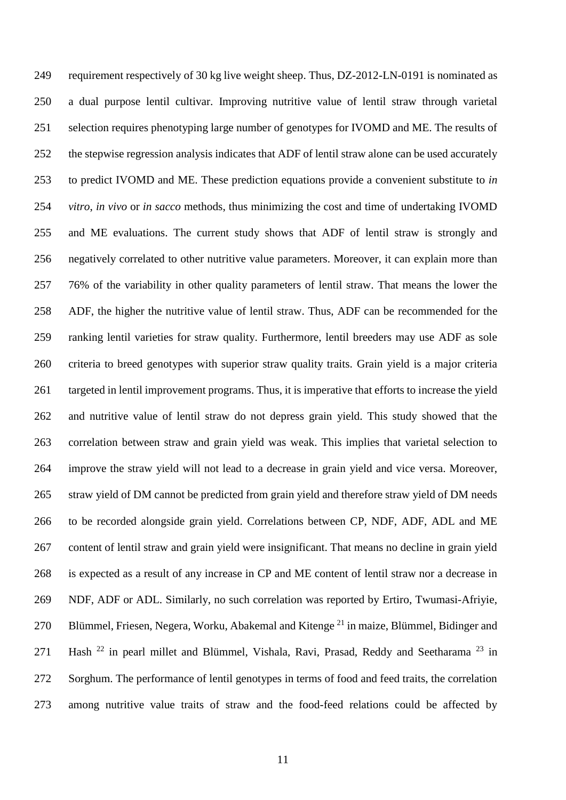requirement respectively of 30 kg live weight sheep. Thus, DZ-2012-LN-0191 is nominated as a dual purpose lentil cultivar. Improving nutritive value of lentil straw through varietal selection requires phenotyping large number of genotypes for IVOMD and ME. The results of the stepwise regression analysis indicates that ADF of lentil straw alone can be used accurately to predict IVOMD and ME. These prediction equations provide a convenient substitute to *in vitro*, *in vivo* or *in sacco* methods, thus minimizing the cost and time of undertaking IVOMD and ME evaluations. The current study shows that ADF of lentil straw is strongly and negatively correlated to other nutritive value parameters. Moreover, it can explain more than 76% of the variability in other quality parameters of lentil straw. That means the lower the ADF, the higher the nutritive value of lentil straw. Thus, ADF can be recommended for the ranking lentil varieties for straw quality. Furthermore, lentil breeders may use ADF as sole criteria to breed genotypes with superior straw quality traits. Grain yield is a major criteria targeted in lentil improvement programs. Thus, it is imperative that efforts to increase the yield and nutritive value of lentil straw do not depress grain yield. This study showed that the correlation between straw and grain yield was weak. This implies that varietal selection to improve the straw yield will not lead to a decrease in grain yield and vice versa. Moreover, straw yield of DM cannot be predicted from grain yield and therefore straw yield of DM needs to be recorded alongside grain yield. Correlations between CP, NDF, ADF, ADL and ME content of lentil straw and grain yield were insignificant. That means no decline in grain yield is expected as a result of any increase in CP and ME content of lentil straw nor a decrease in NDF, ADF or ADL. Similarly, no such correlation was reported by Ertiro, Twumasi-Afriyie, 270 Blümmel, Friesen, Negera, Worku, Abakemal and Kitenge  $^{21}$  in maize, Blümmel, Bidinger and 271 Hash  $^{22}$  in pearl millet and Blümmel, Vishala, Ravi, Prasad, Reddy and Seetharama  $^{23}$  in Sorghum. The performance of lentil genotypes in terms of food and feed traits, the correlation among nutritive value traits of straw and the food-feed relations could be affected by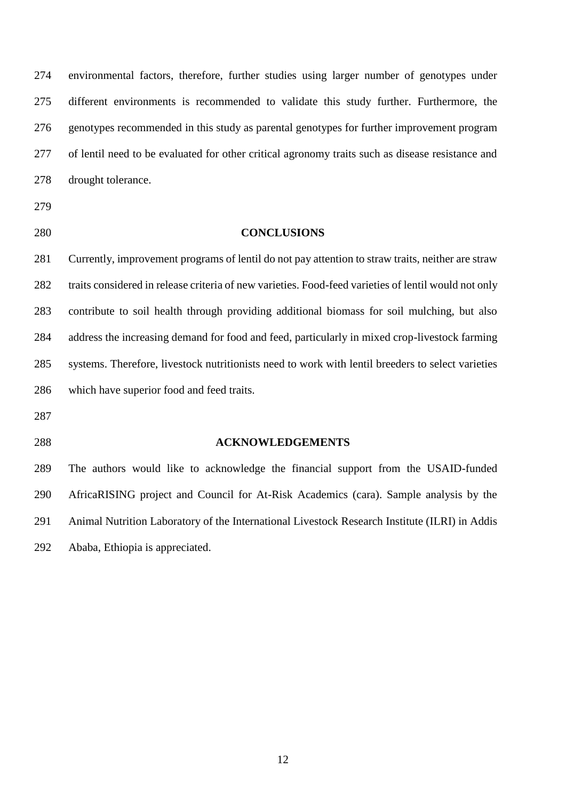environmental factors, therefore, further studies using larger number of genotypes under different environments is recommended to validate this study further. Furthermore, the genotypes recommended in this study as parental genotypes for further improvement program of lentil need to be evaluated for other critical agronomy traits such as disease resistance and drought tolerance.

- 
- 

### **CONCLUSIONS**

 Currently, improvement programs of lentil do not pay attention to straw traits, neither are straw traits considered in release criteria of new varieties. Food-feed varieties of lentil would not only contribute to soil health through providing additional biomass for soil mulching, but also address the increasing demand for food and feed, particularly in mixed crop-livestock farming systems. Therefore, livestock nutritionists need to work with lentil breeders to select varieties which have superior food and feed traits.

### **ACKNOWLEDGEMENTS**

 The authors would like to acknowledge the financial support from the USAID-funded AfricaRISING project and Council for At-Risk Academics (cara). Sample analysis by the Animal Nutrition Laboratory of the International Livestock Research Institute (ILRI) in Addis Ababa, Ethiopia is appreciated.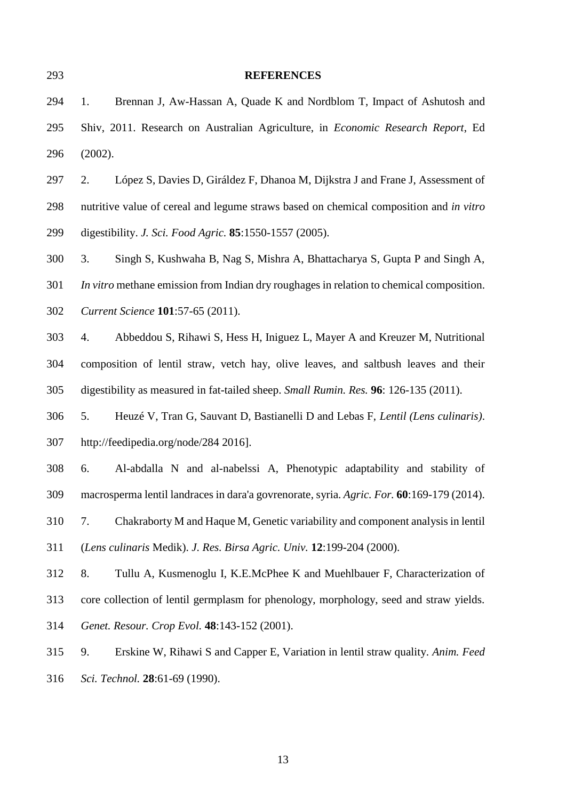| 293 | <b>REFERENCES</b>                                                                         |
|-----|-------------------------------------------------------------------------------------------|
| 294 | Brennan J, Aw-Hassan A, Quade K and Nordblom T, Impact of Ashutosh and<br>1.              |
| 295 | Shiv, 2011. Research on Australian Agriculture, in Economic Research Report, Ed           |
| 296 | (2002).                                                                                   |
| 297 | López S, Davies D, Giráldez F, Dhanoa M, Dijkstra J and Frane J, Assessment of<br>2.      |
| 298 | nutritive value of cereal and legume straws based on chemical composition and in vitro    |
| 299 | digestibility. <i>J. Sci. Food Agric.</i> <b>85</b> :1550-1557 (2005).                    |
| 300 | Singh S, Kushwaha B, Nag S, Mishra A, Bhattacharya S, Gupta P and Singh A,<br>3.          |
| 301 | In vitro methane emission from Indian dry roughages in relation to chemical composition.  |
| 302 | Current Science 101:57-65 (2011).                                                         |
| 303 | Abbeddou S, Rihawi S, Hess H, Iniguez L, Mayer A and Kreuzer M, Nutritional<br>4.         |
| 304 | composition of lentil straw, vetch hay, olive leaves, and saltbush leaves and their       |
| 305 | digestibility as measured in fat-tailed sheep. Small Rumin. Res. 96: 126-135 (2011).      |
| 306 | Heuzé V, Tran G, Sauvant D, Bastianelli D and Lebas F, Lentil (Lens culinaris).<br>5.     |
| 307 | http://feedipedia.org/node/284 2016].                                                     |
| 308 | Al-abdalla N and al-nabelssi A, Phenotypic adaptability and stability of<br>6.            |
| 309 | macrosperma lentil landraces in dara'a govrenorate, syria. Agric. For. 60:169-179 (2014). |
| 310 | Chakraborty M and Haque M, Genetic variability and component analysis in lentil<br>7.     |
| 311 | (Lens culinaris Medik). J. Res. Birsa Agric. Univ. 12:199-204 (2000).                     |
| 312 | 8.<br>Tullu A, Kusmenoglu I, K.E.McPhee K and Muehlbauer F, Characterization of           |
| 313 | core collection of lentil germplasm for phenology, morphology, seed and straw yields.     |
| 314 | Genet. Resour. Crop Evol. 48:143-152 (2001).                                              |
| 315 | Erskine W, Rihawi S and Capper E, Variation in lentil straw quality. Anim. Feed<br>9.     |
| 316 | Sci. Technol. 28:61-69 (1990).                                                            |
|     |                                                                                           |
|     |                                                                                           |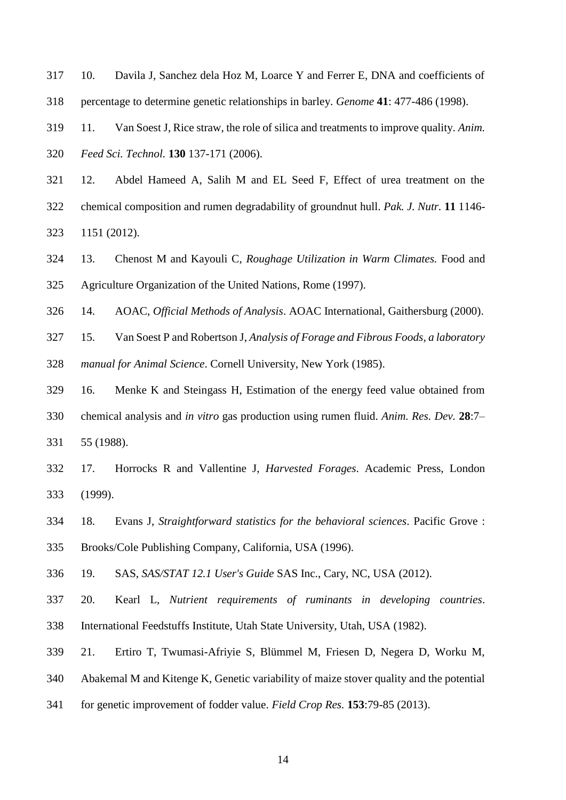- 10. Davila J, Sanchez dela Hoz M, Loarce Y and Ferrer E, DNA and coefficients of
- percentage to determine genetic relationships in barley. *Genome* **41**: 477-486 (1998).

 11. Van Soest J, Rice straw, the role of silica and treatments to improve quality. *Anim. Feed Sci. Technol.* **130** 137-171 (2006).

 12. Abdel Hameed A, Salih M and EL Seed F, Effect of urea treatment on the chemical composition and rumen degradability of groundnut hull. *Pak. J. Nutr.* **11** 1146- 1151 (2012).

 13. Chenost M and Kayouli C, *Roughage Utilization in Warm Climates.* Food and Agriculture Organization of the United Nations, Rome (1997).

14. AOAC, *Official Methods of Analysis*. AOAC International, Gaithersburg (2000).

15. Van Soest P and Robertson J, *Analysis of Forage and Fibrous Foods, a laboratory* 

*manual for Animal Science*. Cornell University, New York (1985).

 16. Menke K and Steingass H, Estimation of the energy feed value obtained from chemical analysis and *in vitro* gas production using rumen fluid. *Anim. Res. Dev.* **28**:7– 55 (1988).

 17. Horrocks R and Vallentine J, *Harvested Forages*. Academic Press, London (1999).

 18. Evans J, *Straightforward statistics for the behavioral sciences*. Pacific Grove : Brooks/Cole Publishing Company, California, USA (1996).

19. SAS, *SAS/STAT 12.1 User's Guide* SAS Inc., Cary, NC, USA (2012).

- 20. Kearl L, *Nutrient requirements of ruminants in developing countries*. International Feedstuffs Institute, Utah State University, Utah, USA (1982).
- 21. Ertiro T, Twumasi-Afriyie S, Blümmel M, Friesen D, Negera D, Worku M,

Abakemal M and Kitenge K, Genetic variability of maize stover quality and the potential

for genetic improvement of fodder value. *Field Crop Res.* **153**:79-85 (2013).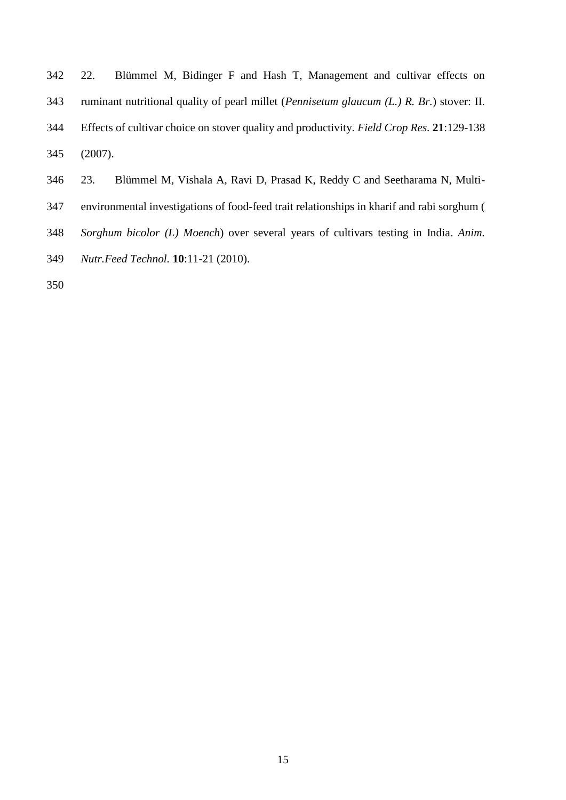|     | Blümmel M, Bidinger F and Hash T, Management and cultivar effects on<br>342 22.                              |
|-----|--------------------------------------------------------------------------------------------------------------|
| 343 | ruminant nutritional quality of pearl millet ( <i>Pennisetum glaucum <math>(L, R, Br)</math></i> stover: II. |
| 344 | Effects of cultivar choice on stover quality and productivity. Field Crop Res. 21:129-138                    |
| 345 | $(2007)$ .                                                                                                   |

- 23. Blümmel M, Vishala A, Ravi D, Prasad K, Reddy C and Seetharama N, Multi-
- environmental investigations of food-feed trait relationships in kharif and rabi sorghum (
- *Sorghum bicolor (L) Moench*) over several years of cultivars testing in India. *Anim.*
- *Nutr.Feed Technol.* **10**:11-21 (2010).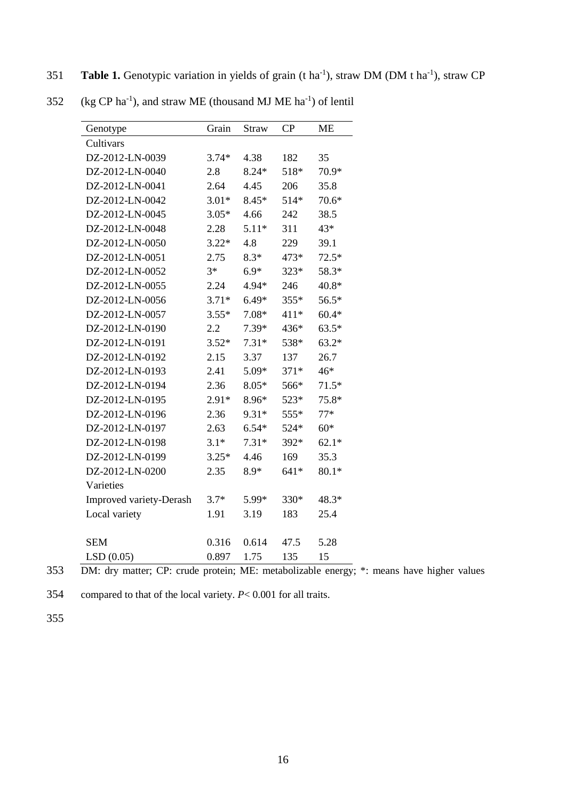**Table 1.** Genotypic variation in yields of grain (t ha<sup>-1</sup>), straw DM (DM t ha<sup>-1</sup>), straw CP

| Genotype                       | Grain   | <b>Straw</b> | CP     | <b>ME</b> |
|--------------------------------|---------|--------------|--------|-----------|
| Cultivars                      |         |              |        |           |
| DZ-2012-LN-0039                | $3.74*$ | 4.38         | 182    | 35        |
| DZ-2012-LN-0040                | 2.8     | $8.24*$      | 518*   | 70.9*     |
| DZ-2012-LN-0041                | 2.64    | 4.45         | 206    | 35.8      |
| DZ-2012-LN-0042                | $3.01*$ | $8.45*$      | 514*   | 70.6*     |
| DZ-2012-LN-0045                | $3.05*$ | 4.66         | 242    | 38.5      |
| DZ-2012-LN-0048                | 2.28    | $5.11*$      | 311    | 43*       |
| DZ-2012-LN-0050                | $3.22*$ | 4.8          | 229    | 39.1      |
| DZ-2012-LN-0051                | 2.75    | $8.3*$       | 473*   | $72.5*$   |
| DZ-2012-LN-0052                | $3*$    | $6.9*$       | 323*   | 58.3*     |
| DZ-2012-LN-0055                | 2.24    | 4.94*        | 246    | 40.8*     |
| DZ-2012-LN-0056                | $3.71*$ | $6.49*$      | 355*   | 56.5*     |
| DZ-2012-LN-0057                | $3.55*$ | 7.08*        | 411*   | $60.4*$   |
| DZ-2012-LN-0190                | 2.2     | 7.39*        | 436*   | $63.5*$   |
| DZ-2012-LN-0191                | $3.52*$ | $7.31*$      | 538*   | $63.2*$   |
| DZ-2012-LN-0192                | 2.15    | 3.37         | 137    | 26.7      |
| DZ-2012-LN-0193                | 2.41    | 5.09*        | $371*$ | $46*$     |
| DZ-2012-LN-0194                | 2.36    | $8.05*$      | 566*   | $71.5*$   |
| DZ-2012-LN-0195                | $2.91*$ | 8.96*        | 523*   | 75.8*     |
| DZ-2012-LN-0196                | 2.36    | $9.31*$      | 555*   | $77*$     |
| DZ-2012-LN-0197                | 2.63    | $6.54*$      | 524*   | $60*$     |
| DZ-2012-LN-0198                | $3.1*$  | $7.31*$      | 392*   | $62.1*$   |
| DZ-2012-LN-0199                | $3.25*$ | 4.46         | 169    | 35.3      |
| DZ-2012-LN-0200                | 2.35    | $8.9*$       | $641*$ | $80.1*$   |
| Varieties                      |         |              |        |           |
| <b>Improved variety-Derash</b> | $3.7*$  | 5.99*        | 330*   | 48.3*     |
| Local variety                  | 1.91    | 3.19         | 183    | 25.4      |
|                                |         |              |        |           |
| <b>SEM</b>                     | 0.316   | 0.614        | 47.5   | 5.28      |
| LSD(0.05)                      | 0.897   | 1.75         | 135    | 15        |

352 (kg CP ha<sup>-1</sup>), and straw ME (thousand MJ ME ha<sup>-1</sup>) of lentil

353 DM: dry matter; CP: crude protein; ME: metabolizable energy; \*: means have higher values

354 compared to that of the local variety. *P*< 0.001 for all traits.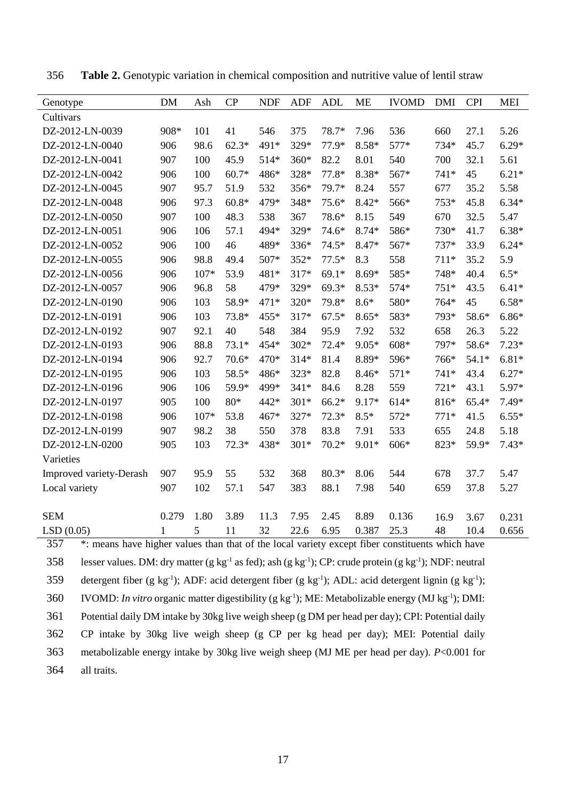| Genotype                | DM           | Ash  | CP      | <b>NDF</b> | <b>ADF</b> | <b>ADL</b> | ME      | <b>IVOMD</b> | <b>DMI</b> | <b>CPI</b> | <b>MEI</b> |
|-------------------------|--------------|------|---------|------------|------------|------------|---------|--------------|------------|------------|------------|
| Cultivars               |              |      |         |            |            |            |         |              |            |            |            |
| DZ-2012-LN-0039         | 908*         | 101  | 41      | 546        | 375        | 78.7*      | 7.96    | 536          | 660        | 27.1       | 5.26       |
| DZ-2012-LN-0040         | 906          | 98.6 | $62.3*$ | 491*       | 329*       | 77.9*      | $8.58*$ | 577*         | 734*       | 45.7       | $6.29*$    |
| DZ-2012-LN-0041         | 907          | 100  | 45.9    | 514*       | 360*       | 82.2       | 8.01    | 540          | 700        | 32.1       | 5.61       |
| DZ-2012-LN-0042         | 906          | 100  | $60.7*$ | 486*       | 328*       | 77.8*      | $8.38*$ | 567*         | 741*       | 45         | $6.21*$    |
| DZ-2012-LN-0045         | 907          | 95.7 | 51.9    | 532        | 356*       | 79.7*      | 8.24    | 557          | 677        | 35.2       | 5.58       |
| DZ-2012-LN-0048         | 906          | 97.3 | $60.8*$ | 479*       | 348*       | $75.6*$    | $8.42*$ | 566*         | 753*       | 45.8       | $6.34*$    |
| DZ-2012-LN-0050         | 907          | 100  | 48.3    | 538        | 367        | 78.6*      | 8.15    | 549          | 670        | 32.5       | 5.47       |
| DZ-2012-LN-0051         | 906          | 106  | 57.1    | 494*       | 329*       | 74.6*      | $8.74*$ | 586*         | 730*       | 41.7       | $6.38*$    |
| DZ-2012-LN-0052         | 906          | 100  | 46      | 489*       | 336*       | $74.5*$    | 8.47*   | 567*         | 737*       | 33.9       | $6.24*$    |
| DZ-2012-LN-0055         | 906          | 98.8 | 49.4    | 507*       | 352*       | $77.5*$    | 8.3     | 558          | $711*$     | 35.2       | 5.9        |
| DZ-2012-LN-0056         | 906          | 107* | 53.9    | 481*       | 317*       | $69.1*$    | $8.69*$ | 585*         | 748*       | 40.4       | $6.5*$     |
| DZ-2012-LN-0057         | 906          | 96.8 | 58      | 479*       | 329*       | $69.3*$    | $8.53*$ | 574*         | $751*$     | 43.5       | $6.41*$    |
| DZ-2012-LN-0190         | 906          | 103  | 58.9*   | 471*       | 320*       | 79.8*      | $8.6*$  | 580*         | 764*       | 45         | $6.58*$    |
| DZ-2012-LN-0191         | 906          | 103  | 73.8*   | 455*       | 317*       | $67.5*$    | $8.65*$ | 583*         | 793*       | 58.6*      | $6.86*$    |
| DZ-2012-LN-0192         | 907          | 92.1 | 40      | 548        | 384        | 95.9       | 7.92    | 532          | 658        | 26.3       | 5.22       |
| DZ-2012-LN-0193         | 906          | 88.8 | $73.1*$ | 454*       | $302*$     | $72.4*$    | $9.05*$ | 608*         | 797*       | 58.6*      | $7.23*$    |
| DZ-2012-LN-0194         | 906          | 92.7 | $70.6*$ | 470*       | $314*$     | 81.4       | 8.89*   | 596*         | 766*       | $54.1*$    | $6.81*$    |
| DZ-2012-LN-0195         | 906          | 103  | 58.5*   | 486*       | 323*       | 82.8       | $8.46*$ | $571*$       | 741*       | 43.4       | $6.27*$    |
| DZ-2012-LN-0196         | 906          | 106  | 59.9*   | 499*       | $341*$     | 84.6       | 8.28    | 559          | $721*$     | 43.1       | 5.97*      |
| DZ-2012-LN-0197         | 905          | 100  | 80*     | 442*       | $301*$     | $66.2*$    | $9.17*$ | $614*$       | 816*       | 65.4*      | 7.49*      |
| DZ-2012-LN-0198         | 906          | 107* | 53.8    | 467*       | 327*       | $72.3*$    | $8.5*$  | 572*         | $771*$     | 41.5       | $6.55*$    |
| DZ-2012-LN-0199         | 907          | 98.2 | 38      | 550        | 378        | 83.8       | 7.91    | 533          | 655        | 24.8       | 5.18       |
| DZ-2012-LN-0200         | 905          | 103  | $72.3*$ | 438*       | $301*$     | $70.2*$    | $9.01*$ | 606*         | 823*       | 59.9*      | $7.43*$    |
| Varieties               |              |      |         |            |            |            |         |              |            |            |            |
| Improved variety-Derash | 907          | 95.9 | 55      | 532        | 368        | $80.3*$    | 8.06    | 544          | 678        | 37.7       | 5.47       |
| Local variety           | 907          | 102  | 57.1    | 547        | 383        | 88.1       | 7.98    | 540          | 659        | 37.8       | 5.27       |
|                         |              |      |         |            |            |            |         |              |            |            |            |
| <b>SEM</b>              | 0.279        | 1.80 | 3.89    | 11.3       | 7.95       | 2.45       | 8.89    | 0.136        | 16.9       | 3.67       | 0.231      |
| LSD(0.05)               | $\mathbf{1}$ | 5    | 11      | 32         | 22.6       | 6.95       | 0.387   | 25.3         | 48         | 10.4       | 0.656      |

356 **Table 2.** Genotypic variation in chemical composition and nutritive value of lentil straw

 \*: means have higher values than that of the local variety except fiber constituents which have 358 lesser values. DM: dry matter (g kg<sup>-1</sup> as fed); ash (g kg<sup>-1</sup>); CP: crude protein (g kg<sup>-1</sup>); NDF: neutral 359 detergent fiber (g kg<sup>-1</sup>); ADF: acid detergent fiber (g kg<sup>-1</sup>); ADL: acid detergent lignin (g kg<sup>-1</sup>); 360 VOMD: *In vitro* organic matter digestibility (g kg<sup>-1</sup>); ME: Metabolizable energy (MJ kg<sup>-1</sup>); DMI: Potential daily DM intake by 30kg live weigh sheep (g DM per head per day); CPI: Potential daily CP intake by 30kg live weigh sheep (g CP per kg head per day); MEI: Potential daily metabolizable energy intake by 30kg live weigh sheep (MJ ME per head per day). *P*<0.001 for all traits.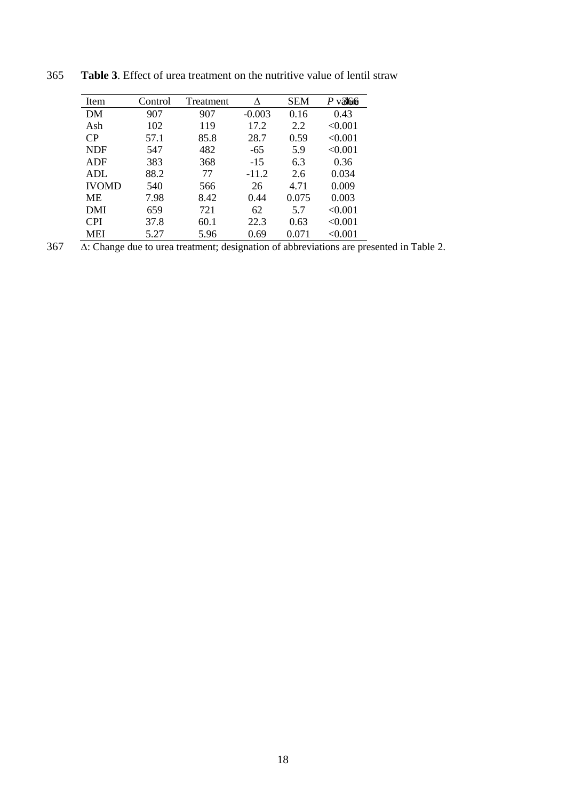| Item         | Control | Treatment | л        | <b>SEM</b> | $P$ v31616 |
|--------------|---------|-----------|----------|------------|------------|
| DM           | 907     | 907       | $-0.003$ | 0.16       | 0.43       |
| Ash          | 102     | 119       | 17.2     | 2.2        | < 0.001    |
| CP           | 57.1    | 85.8      | 28.7     | 0.59       | < 0.001    |
| <b>NDF</b>   | 547     | 482       | $-65$    | 5.9        | < 0.001    |
| ADF          | 383     | 368       | $-15$    | 6.3        | 0.36       |
| <b>ADL</b>   | 88.2    | 77        | $-11.2$  | 2.6        | 0.034      |
| <b>IVOMD</b> | 540     | 566       | 26       | 4.71       | 0.009      |
| MЕ           | 7.98    | 8.42      | 0.44     | 0.075      | 0.003      |
| DMI          | 659     | 721       | 62       | 5.7        | < 0.001    |
| <b>CPI</b>   | 37.8    | 60.1      | 22.3     | 0.63       | < 0.001    |
| MEI          | 5.27    | 5.96      | 0.69     | 0.071      | < 0.001    |

365 **Table 3**. Effect of urea treatment on the nutritive value of lentil straw

367 ∆: Change due to urea treatment; designation of abbreviations are presented in Table 2.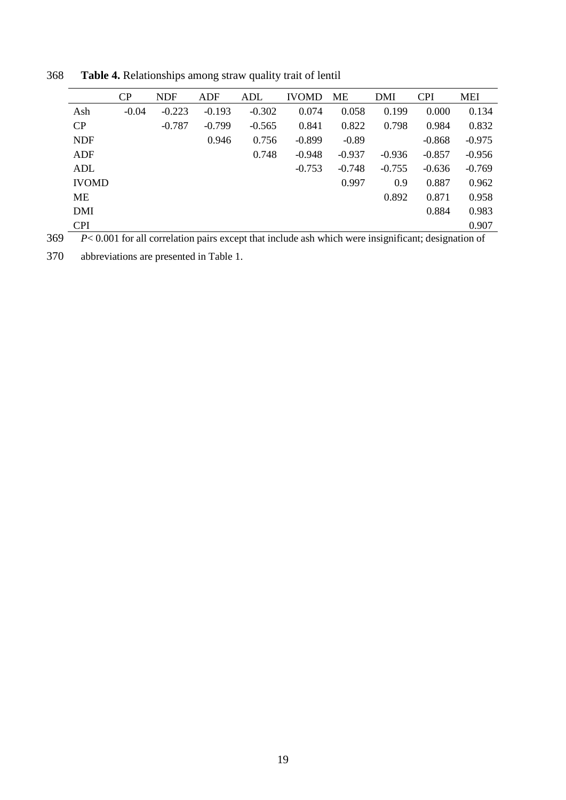|              | CP      | <b>NDF</b> | ADF      | ADL      | <b>IVOMD</b> | ME       | DMI      | <b>CPI</b> | <b>MEI</b> |
|--------------|---------|------------|----------|----------|--------------|----------|----------|------------|------------|
| Ash          | $-0.04$ | $-0.223$   | $-0.193$ | $-0.302$ | 0.074        | 0.058    | 0.199    | 0.000      | 0.134      |
| CP           |         | $-0.787$   | $-0.799$ | $-0.565$ | 0.841        | 0.822    | 0.798    | 0.984      | 0.832      |
| <b>NDF</b>   |         |            | 0.946    | 0.756    | $-0.899$     | $-0.89$  |          | $-0.868$   | $-0.975$   |
| <b>ADF</b>   |         |            |          | 0.748    | $-0.948$     | $-0.937$ | $-0.936$ | $-0.857$   | $-0.956$   |
| ADL          |         |            |          |          | $-0.753$     | $-0.748$ | $-0.755$ | $-0.636$   | $-0.769$   |
| <b>IVOMD</b> |         |            |          |          |              | 0.997    | 0.9      | 0.887      | 0.962      |
| МE           |         |            |          |          |              |          | 0.892    | 0.871      | 0.958      |
| <b>DMI</b>   |         |            |          |          |              |          |          | 0.884      | 0.983      |
| <b>CPI</b>   |         |            |          |          |              |          |          |            | 0.907      |
|              |         |            |          |          |              |          |          |            |            |

368 **Table 4.** Relationships among straw quality trait of lentil

369 *P*< 0.001 for all correlation pairs except that include ash which were insignificant; designation of

370 abbreviations are presented in Table 1.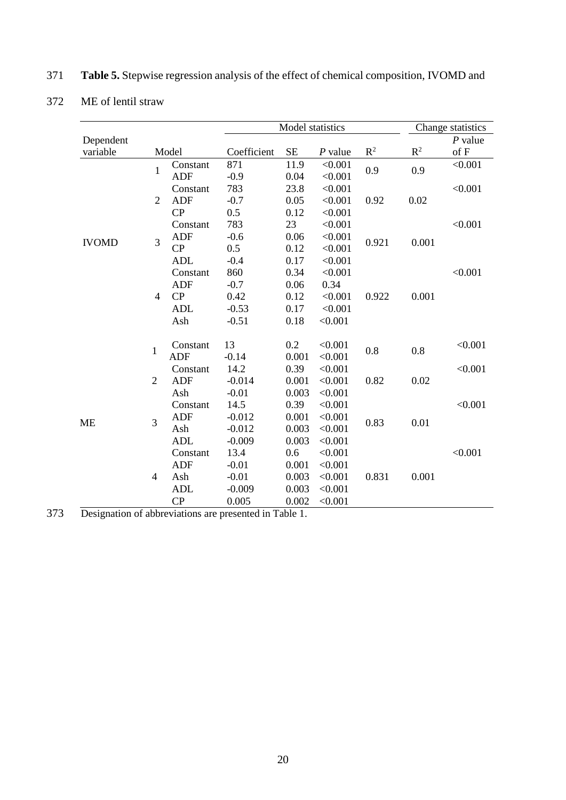|              |                |            |             | Model statistics |           |                |                | Change statistics |
|--------------|----------------|------------|-------------|------------------|-----------|----------------|----------------|-------------------|
| Dependent    |                |            |             |                  |           |                |                | $P$ value         |
| variable     |                | Model      | Coefficient | $\rm SE$         | $P$ value | $\mathbb{R}^2$ | $\mathbb{R}^2$ | of F              |
|              | $\mathbf{1}$   | Constant   | 871         | 11.9             | < 0.001   | 0.9            | 0.9            | < 0.001           |
|              |                | <b>ADF</b> | $-0.9$      | 0.04             | < 0.001   |                |                |                   |
|              |                | Constant   | 783         | 23.8             | < 0.001   |                |                | < 0.001           |
|              | $\overline{2}$ | <b>ADF</b> | $-0.7$      | 0.05             | < 0.001   | 0.92           | 0.02           |                   |
|              |                | CP         | 0.5         | 0.12             | < 0.001   |                |                |                   |
|              |                | Constant   | 783         | 23               | < 0.001   |                |                | < 0.001           |
| <b>IVOMD</b> | $\overline{3}$ | <b>ADF</b> | $-0.6$      | 0.06             | < 0.001   | 0.921          | 0.001          |                   |
|              |                | CP         | 0.5         | 0.12             | < 0.001   |                |                |                   |
|              |                | <b>ADL</b> | $-0.4$      | 0.17             | < 0.001   |                |                |                   |
|              |                | Constant   | 860         | 0.34             | < 0.001   |                |                | < 0.001           |
|              |                | <b>ADF</b> | $-0.7$      | 0.06             | 0.34      |                |                |                   |
|              | $\overline{4}$ | CP         | 0.42        | 0.12             | < 0.001   | 0.922          | 0.001          |                   |
|              |                | <b>ADL</b> | $-0.53$     | 0.17             | < 0.001   |                |                |                   |
|              |                | Ash        | $-0.51$     | 0.18             | < 0.001   |                |                |                   |
|              |                | Constant   | 13          | 0.2              | < 0.001   |                |                | < 0.001           |
|              | $\mathbf{1}$   | <b>ADF</b> | $-0.14$     | 0.001            | < 0.001   | 0.8            | 0.8            |                   |
|              |                | Constant   | 14.2        | 0.39             | < 0.001   |                |                | < 0.001           |
|              | $\overline{2}$ | <b>ADF</b> | $-0.014$    | 0.001            | < 0.001   | 0.82           | 0.02           |                   |
|              |                | Ash        | $-0.01$     | 0.003            | < 0.001   |                |                |                   |
|              |                | Constant   | 14.5        | 0.39             | < 0.001   |                |                | < 0.001           |
|              | 3              | <b>ADF</b> | $-0.012$    | 0.001            | < 0.001   |                |                |                   |
| <b>ME</b>    |                | Ash        | $-0.012$    | 0.003            | < 0.001   | 0.83           | 0.01           |                   |
|              |                | <b>ADL</b> | $-0.009$    | 0.003            | < 0.001   |                |                |                   |
|              |                | Constant   | 13.4        | 0.6              | < 0.001   |                |                | < 0.001           |
|              |                | <b>ADF</b> | $-0.01$     | 0.001            | < 0.001   |                |                |                   |
|              | $\overline{4}$ | Ash        | $-0.01$     | 0.003            | < 0.001   | 0.831          | 0.001          |                   |
|              |                | <b>ADL</b> | $-0.009$    | 0.003            | < 0.001   |                |                |                   |
|              |                | CP         | 0.005       | 0.002            | < 0.001   |                |                |                   |

# 371 **Table 5.** Stepwise regression analysis of the effect of chemical composition, IVOMD and

# 372 ME of lentil straw

373 Designation of abbreviations are presented in Table 1.